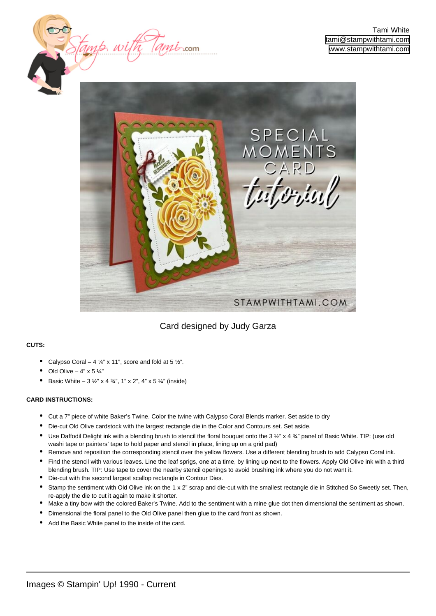



### Card designed by Judy Garza

### **CUTS:**

- Calypso Coral 4  $\frac{1}{4}$ " x 11", score and fold at 5  $\frac{1}{2}$ ".
- Old Olive  $4" \times 5 \%$
- Basic White  $3 \frac{1}{2}$ " x 4  $\frac{3}{4}$ ", 1" x 2", 4" x 5  $\frac{1}{4}$ " (inside)

#### **CARD INSTRUCTIONS:**

- Cut a 7" piece of white Baker's Twine. Color the twine with Calypso Coral Blends marker. Set aside to dry
- Die-cut Old Olive cardstock with the largest rectangle die in the Color and Contours set. Set aside.
- Use Daffodil Delight ink with a blending brush to stencil the floral bouquet onto the 3 ½" x 4 ¾" panel of Basic White. TIP: (use old washi tape or painters' tape to hold paper and stencil in place, lining up on a grid pad) •
- Remove and reposition the corresponding stencil over the yellow flowers. Use a different blending brush to add Calypso Coral ink.
- Find the stencil with various leaves. Line the leaf sprigs, one at a time, by lining up next to the flowers. Apply Old Olive ink with a third blending brush. TIP: Use tape to cover the nearby stencil openings to avoid brushing ink where you do not want it. •
- Die-cut with the second largest scallop rectangle in Contour Dies.
- Stamp the sentiment with Old Olive ink on the 1 x 2" scrap and die-cut with the smallest rectangle die in Stitched So Sweetly set. Then, re-apply the die to cut it again to make it shorter. •
- Make a tiny bow with the colored Baker's Twine. Add to the sentiment with a mine glue dot then dimensional the sentiment as shown.
- Dimensional the floral panel to the Old Olive panel then glue to the card front as shown.
- Add the Basic White panel to the inside of the card.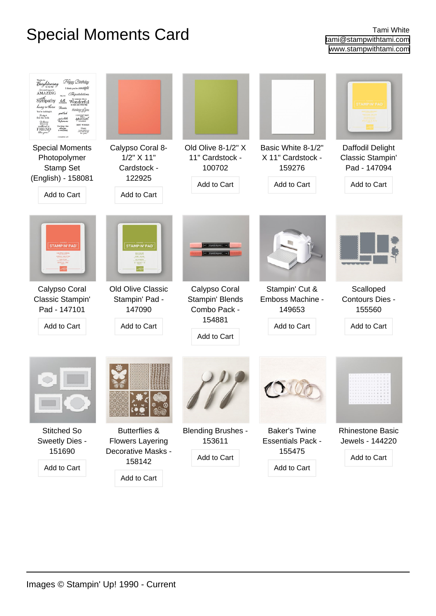# Special Moments Card **Tami White**

| Happy Birthday<br>Brightening<br>rou're wanded bill<br>AMAZING<br>Connabilation<br>Sympathy<br>helle<br>Wonderful<br>hang in there<br>Thanks<br>thinking gfyou<br>You're holding it.<br>ud lach<br>ن بهاد 2D.<br>feel the feel<br>pecíal<br><b>FRIEN</b> |                                                                                                    |                                                                           |                                                                           | <b>STAMPIN' PAD</b>                                                 |
|----------------------------------------------------------------------------------------------------------------------------------------------------------------------------------------------------------------------------------------------------------|----------------------------------------------------------------------------------------------------|---------------------------------------------------------------------------|---------------------------------------------------------------------------|---------------------------------------------------------------------|
| <b>Special Moments</b><br>Photopolymer<br>Stamp Set<br>(English) - 158081<br>Add to Cart                                                                                                                                                                 | Calypso Coral 8-<br>$1/2$ " $X$ 11"<br>Cardstock -<br>122925<br>Add to Cart                        | Old Olive 8-1/2" X<br>11" Cardstock -<br>100702<br>Add to Cart            | Basic White 8-1/2"<br>X 11" Cardstock -<br>159276<br>Add to Cart          | Daffodil Delight<br>Classic Stampin'<br>Pad - 147094<br>Add to Cart |
| <b>STAMPIN' PAD</b>                                                                                                                                                                                                                                      | <b>STAMPIN' PAD</b>                                                                                |                                                                           |                                                                           |                                                                     |
| Calypso Coral<br>Classic Stampin'<br>Pad - 147101<br>Add to Cart                                                                                                                                                                                         | Old Olive Classic<br>Stampin' Pad -<br>147090<br>Add to Cart                                       | Calypso Coral<br>Stampin' Blends<br>Combo Pack -<br>154881<br>Add to Cart | Stampin' Cut &<br>Emboss Machine -<br>149653<br>Add to Cart               | Scalloped<br>Contours Dies -<br>155560<br>Add to Cart               |
|                                                                                                                                                                                                                                                          |                                                                                                    |                                                                           |                                                                           | .                                                                   |
| <b>Stitched So</b><br>Sweetly Dies -<br>151690<br>Add to Cart                                                                                                                                                                                            | <b>Butterflies &amp;</b><br><b>Flowers Layering</b><br>Decorative Masks -<br>158142<br>Add to Cart | <b>Blending Brushes -</b><br>153611<br>Add to Cart                        | <b>Baker's Twine</b><br><b>Essentials Pack -</b><br>155475<br>Add to Cart | <b>Rhinestone Basic</b><br>Jewels - 144220<br>Add to Cart           |